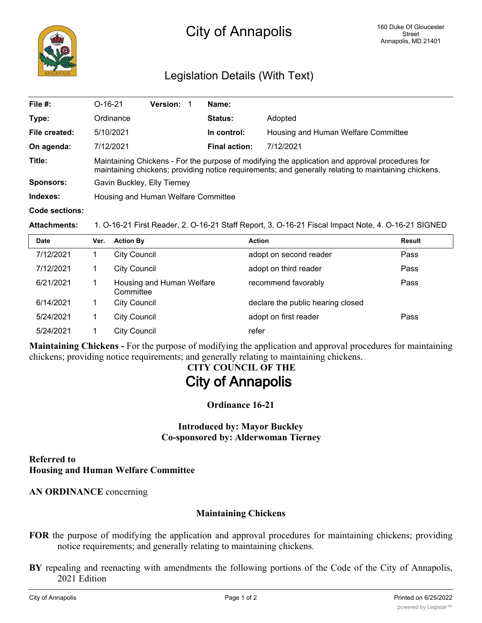

## Legislation Details (With Text)

| File #:               | $O-16-21$                                                                                                                                                                                               | <b>Version:</b> |  | Name:                |                                     |  |  |
|-----------------------|---------------------------------------------------------------------------------------------------------------------------------------------------------------------------------------------------------|-----------------|--|----------------------|-------------------------------------|--|--|
| Type:                 | Ordinance                                                                                                                                                                                               |                 |  | <b>Status:</b>       | Adopted                             |  |  |
| File created:         | 5/10/2021                                                                                                                                                                                               |                 |  | In control:          | Housing and Human Welfare Committee |  |  |
| On agenda:            | 7/12/2021                                                                                                                                                                                               |                 |  | <b>Final action:</b> | 7/12/2021                           |  |  |
| Title:                | Maintaining Chickens - For the purpose of modifying the application and approval procedures for<br>maintaining chickens; providing notice requirements; and generally relating to maintaining chickens. |                 |  |                      |                                     |  |  |
| Sponsors:             | Gavin Buckley, Elly Tierney                                                                                                                                                                             |                 |  |                      |                                     |  |  |
| Indexes:              | Housing and Human Welfare Committee                                                                                                                                                                     |                 |  |                      |                                     |  |  |
| <b>Code sections:</b> |                                                                                                                                                                                                         |                 |  |                      |                                     |  |  |

**Attachments:** 1. O-16-21 First Reader, 2. O-16-21 Staff Report, 3. O-16-21 Fiscal Impact Note, 4. O-16-21 SIGNED

| <b>Date</b> | Ver. | <b>Action By</b>                       | <b>Action</b>                     | Result |
|-------------|------|----------------------------------------|-----------------------------------|--------|
| 7/12/2021   |      | <b>City Council</b>                    | adopt on second reader            | Pass   |
| 7/12/2021   |      | <b>City Council</b>                    | adopt on third reader             | Pass   |
| 6/21/2021   |      | Housing and Human Welfare<br>Committee | recommend favorably               | Pass   |
| 6/14/2021   |      | <b>City Council</b>                    | declare the public hearing closed |        |
| 5/24/2021   |      | <b>City Council</b>                    | adopt on first reader             | Pass   |
| 5/24/2021   |      | <b>City Council</b>                    | refer                             |        |

**Maintaining Chickens -** For the purpose of modifying the application and approval procedures for maintaining chickens; providing notice requirements; and generally relating to maintaining chickens.

# **CITY COUNCIL OF THE City of Annapolis**

**Ordinance 16-21**

## **Introduced by: Mayor Buckley Co-sponsored by: Alderwoman Tierney**

### **Referred to Housing and Human Welfare Committee**

**AN ORDINANCE** concerning

## **Maintaining Chickens**

- **FOR** the purpose of modifying the application and approval procedures for maintaining chickens; providing notice requirements; and generally relating to maintaining chickens.
- **BY** repealing and reenacting with amendments the following portions of the Code of the City of Annapolis, 2021 Edition